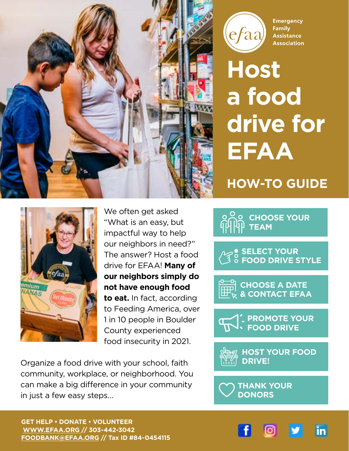



**Emergency** Family **Assistance Association** 

# **Host a food drive for EFAA HOW-TO GUIDE**



We often get asked "What is an easy, but impactful way to help our neighbors in need?" The answer? Host a food drive for EFAA! **Many of our neighbors simply do not have enough food to eat.** In fact, according to Feeding America, over 1 in 10 people in Boulder County experienced food insecurity in 2021.

Organize a food drive with your school, faith community, workplace, or neighborhood. You can make a big difference in your community in just a few easy steps…

**CHOOSE YOUR TEAM**



**CHOOSE A DATE & CONTACT EFAA**



**HOST YOUR FOOD DRIVE!**



**GET HELP • DONATE • VOLUNTEER [WWW.EFAA.ORG /](http://www.efaa.org )/ 303-442-3042 [FOODBANK@EFAA.ORG](mailto:foodbank%40efaa.org?subject=) // Tax ID #84-0454115**

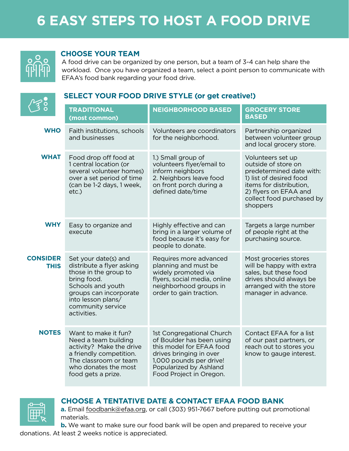

### **CH0OSE YOUR TEAM**

A food drive can be organized by one person, but a team of 3-4 can help share the workload. Once you have organized a team, select a point person to communicate with EFAA's food bank regarding your food drive.



### **SELECT YOUR FOOD DRIVE STYLE (or get creative!)**

|                                | <b>TRADITIONAL</b><br>(most common)                                                                                                                                                                | <b>NEIGHBORHOOD BASED</b>                                                                                                                                                                     | <b>GROCERY STORE</b><br><b>BASED</b>                                                                                                                                                         |
|--------------------------------|----------------------------------------------------------------------------------------------------------------------------------------------------------------------------------------------------|-----------------------------------------------------------------------------------------------------------------------------------------------------------------------------------------------|----------------------------------------------------------------------------------------------------------------------------------------------------------------------------------------------|
| <b>WHO</b>                     | Faith institutions, schools<br>and businesses                                                                                                                                                      | Volunteers are coordinators<br>for the neighborhood.                                                                                                                                          | Partnership organized<br>between volunteer group<br>and local grocery store.                                                                                                                 |
| <b>WHAT</b>                    | Food drop off food at<br>1 central location (or<br>several volunteer homes)<br>over a set period of time<br>(can be 1-2 days, 1 week,<br>$etc.$ )                                                  | 1.) Small group of<br>volunteers flyer/email to<br>inform neighbors<br>2. Neighbors leave food<br>on front porch during a<br>defined date/time                                                | Volunteers set up<br>outside of store on<br>predetermined date with:<br>1) list of desired food<br>items for distribution,<br>2) flyers on EFAA and<br>collect food purchased by<br>shoppers |
| <b>WHY</b>                     | Easy to organize and<br>execute                                                                                                                                                                    | Highly effective and can<br>bring in a larger volume of<br>food because it's easy for<br>people to donate.                                                                                    | Targets a large number<br>of people right at the<br>purchasing source.                                                                                                                       |
| <b>CONSIDER</b><br><b>THIS</b> | Set your date(s) and<br>distribute a flyer asking<br>those in the group to<br>bring food.<br>Schools and youth<br>groups can incorporate<br>into lesson plans/<br>community service<br>activities. | Requires more advanced<br>planning and must be<br>widely promoted via<br>flyers, social media, online<br>neighborhood groups in<br>order to gain traction.                                    | Most groceries stores<br>will be happy with extra<br>sales, but these food<br>drives should always be<br>arranged with the store<br>manager in advance.                                      |
| <b>NOTES</b>                   | Want to make it fun?<br>Need a team building<br>activity? Make the drive<br>a friendly competition.<br>The classroom or team<br>who donates the most<br>food gets a prize.                         | 1st Congregational Church<br>of Boulder has been using<br>this model for EFAA food<br>drives bringing in over<br>1,000 pounds per drive!<br>Popularized by Ashland<br>Food Project in Oregon. | Contact EFAA for a list<br>of our past partners, or<br>reach out to stores you<br>know to gauge interest.                                                                                    |



### **CHOOSE A TENTATIVE DATE & CONTACT EFAA FOOD BANK**

**a.** Email [foodbank@efaa.org,](mailto:foodbank%40efaa.org?subject=) or call (303) 951-7667 before putting out promotional materials.

**b.** We want to make sure our food bank will be open and prepared to receive your

donations. At least 2 weeks notice is appreciated.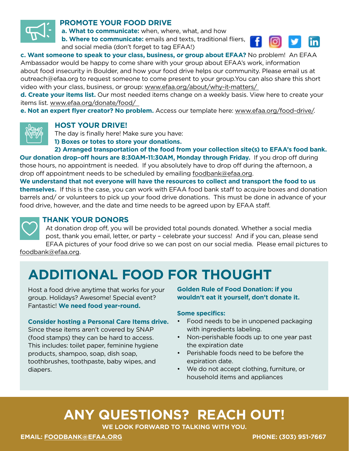

### **PROMOTE YOUR FOOD DRIVE**

**a. What to communicate:** when, where, what, and how

**b. Where to communicate:** emails and texts, traditional fliers, and social media (don't forget to tag EFAA!)



**c. Want someone to speak to your class, business, or group about EFAA?** No problem! An EFAA Ambassador would be happy to come share with your group about EFAA's work, information about food insecurity in Boulder, and how your food drive helps our community. Please email us at outreach@efaa.org to request someone to come present to your group.You can also share this short video with your class, business, or group: [www.efaa.org/about/why-it-matters/](http://www.efaa.org/about/why-it-matters/ ) 

**d. Create your items list.** Our most needed items change on a weekly basis. View here to create your items list. [www.efaa.org/donate/food/](http://www.efaa.org/donate/food/  ) 

**e. Not an expert flyer creator? No problem.** Access our template here: [www.efaa.org/food-drive/](http:// www.efaa.org/food-drive/).



#### **HOST YOUR DRIVE!**

The day is finally here! Make sure you have:

**1) Boxes or totes to store your donations.** 

**2) Arranged transportation of the food from your collection site(s) to EFAA's food bank. Our donation drop-off hours are 8:30AM-11:30AM, Monday through Friday.** If you drop off during those hours, no appointment is needed. If you absolutely have to drop off during the afternoon, a drop off appointment needs to be scheduled by emailing [foodbank@efaa.org.](mailto:foodbank%40efaa.org?subject=)

**We understand that not everyone will have the resources to collect and transport the food to us themselves.** If this is the case, you can work with EFAA food bank staff to acquire boxes and donation barrels and/ or volunteers to pick up your food drive donations. This must be done in advance of your food drive, however, and the date and time needs to be agreed upon by EFAA staff.



#### **THANK YOUR DONORS**

At donation drop off, you will be provided total pounds donated. Whether a social media post, thank you email, letter, or party – celebrate your success! And if you can, please send EFAA pictures of your food drive so we can post on our social media. Please email pictures to

[foodbank@efaa.org](mailto:foodbank%40efaa.org?subject=).

### **ADDITIONAL FOOD FOR THOUGHT**

Host a food drive anytime that works for your group. Holidays? Awesome! Special event? Fantastic! **We need food year-round.**

#### **Consider hosting a Personal Care Items drive.**

Since these items aren't covered by SNAP (food stamps) they can be hard to access. This includes: toilet paper, feminine hygiene products, shampoo, soap, dish soap, toothbrushes, toothpaste, baby wipes, and diapers.

**Golden Rule of Food Donation: if you wouldn't eat it yourself, don't donate it.** 

#### **Some specifics:**

- Food needs to be in unopened packaging with ingredients labeling.
- Non-perishable foods up to one year past the expiration date
- Perishable foods need to be before the expiration date.
- We do not accept clothing, furniture, or household items and appliances

### **ANY QUESTIONS? REACH OUT!**

**WE LOOK FORWARD TO TALKING WITH YOU.**